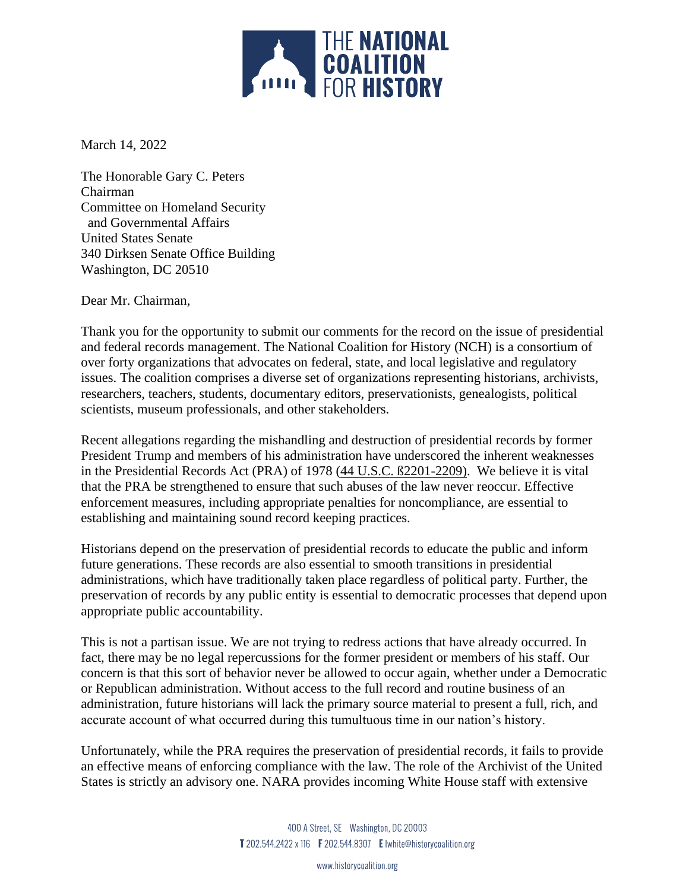

March 14, 2022

The Honorable Gary C. Peters Chairman Committee on Homeland Security and Governmental Affairs United States Senate 340 Dirksen Senate Office Building Washington, DC 20510

Dear Mr. Chairman,

Thank you for the opportunity to submit our comments for the record on the issue of presidential and federal records management. The National Coalition for History (NCH) is a consortium of over forty organizations that advocates on federal, state, and local legislative and regulatory issues. The coalition comprises a diverse set of organizations representing historians, archivists, researchers, teachers, students, documentary editors, preservationists, genealogists, political scientists, museum professionals, and other stakeholders.

Recent allegations regarding the mishandling and destruction of presidential records by former President Trump and members of his administration have underscored the inherent weaknesses in the Presidential Records Act (PRA) of 1978 [\(44 U.S.C. ß2201-2209\)](https://www.archives.gov/about/laws/index.html#presrec). We believe it is vital that the PRA be strengthened to ensure that such abuses of the law never reoccur. Effective enforcement measures, including appropriate penalties for noncompliance, are essential to establishing and maintaining sound record keeping practices.

Historians depend on the preservation of presidential records to educate the public and inform future generations. These records are also essential to smooth transitions in presidential administrations, which have traditionally taken place regardless of political party. Further, the preservation of records by any public entity is essential to democratic processes that depend upon appropriate public accountability.

This is not a partisan issue. We are not trying to redress actions that have already occurred. In fact, there may be no legal repercussions for the former president or members of his staff. Our concern is that this sort of behavior never be allowed to occur again, whether under a Democratic or Republican administration. Without access to the full record and routine business of an administration, future historians will lack the primary source material to present a full, rich, and accurate account of what occurred during this tumultuous time in our nation's history.

Unfortunately, while the PRA requires the preservation of presidential records, it fails to provide an effective means of enforcing compliance with the law. The role of the Archivist of the United States is strictly an advisory one. NARA provides incoming White House staff with extensive